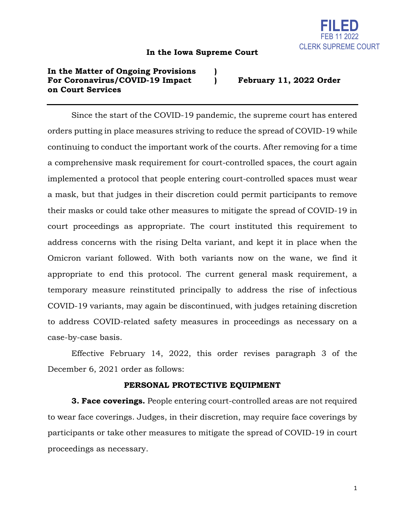

## **In the Iowa Supreme Court**

## **In the Matter of Ongoing Provisions ) For Coronavirus/COVID-19 Impact ) February 11, 2022 Order on Court Services**

Since the start of the COVID-19 pandemic, the supreme court has entered orders putting in place measures striving to reduce the spread of COVID-19 while continuing to conduct the important work of the courts. After removing for a time a comprehensive mask requirement for court-controlled spaces, the court again implemented a protocol that people entering court-controlled spaces must wear a mask, but that judges in their discretion could permit participants to remove their masks or could take other measures to mitigate the spread of COVID-19 in court proceedings as appropriate. The court instituted this requirement to address concerns with the rising Delta variant, and kept it in place when the Omicron variant followed. With both variants now on the wane, we find it appropriate to end this protocol. The current general mask requirement, a temporary measure reinstituted principally to address the rise of infectious COVID-19 variants, may again be discontinued, with judges retaining discretion to address COVID-related safety measures in proceedings as necessary on a case-by-case basis.

Effective February 14, 2022, this order revises paragraph 3 of the December 6, 2021 order as follows:

## **PERSONAL PROTECTIVE EQUIPMENT**

**3. Face coverings.** People entering court-controlled areas are not required to wear face coverings. Judges, in their discretion, may require face coverings by participants or take other measures to mitigate the spread of COVID-19 in court proceedings as necessary.